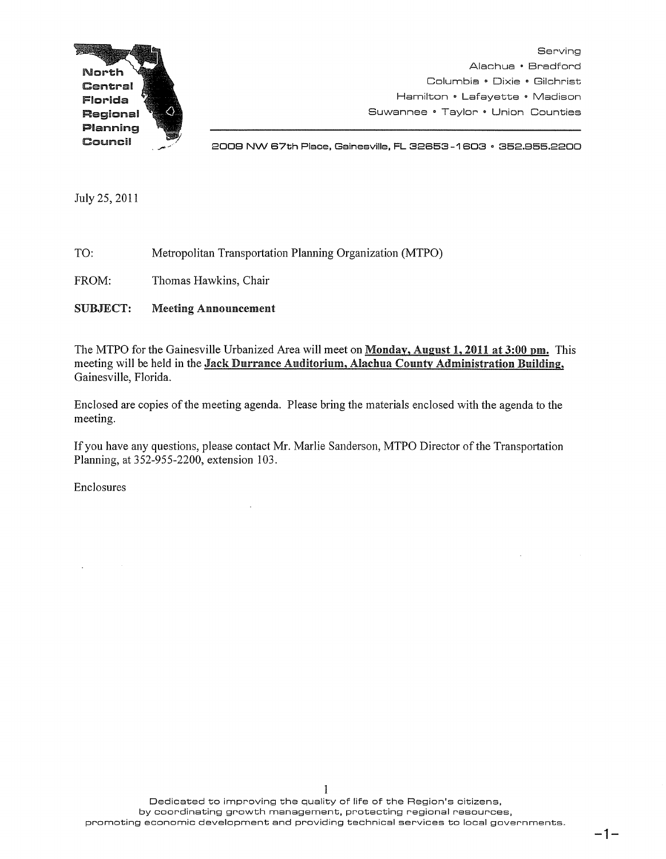

Serving Alachua • Bradford Columbia • Dixie • Gilchrist Hamilton • Lafayette • Madison Suwannee • Taylor • Union Counties

2008 NW 87th Place, Gainesville, FL 32853-1803 • 352.855.2200

July 25,2011

TO: Metropolitan Transportation Planning Organization (MTPO)

FROM: Thomas Hawkins, Chair

#### SUBJECT: Meeting Announcement

The MTPO for the Gainesville Urbanized Area will meet on Monday, August 1, 2011 at 3:00 pm. This meeting will be held in the Jack Durrance Auditorium, Alachua County Administration Building, Gainesville, Florida.

Enclosed are copies of the meeting agenda. Please bring the materials enclosed with the agenda to the meeting.

If you have any questions, please contact Mr. MarIie Sanderson, MTPO Director of the Transportation Planning, at 352-955-2200, extension 103.

Enclosures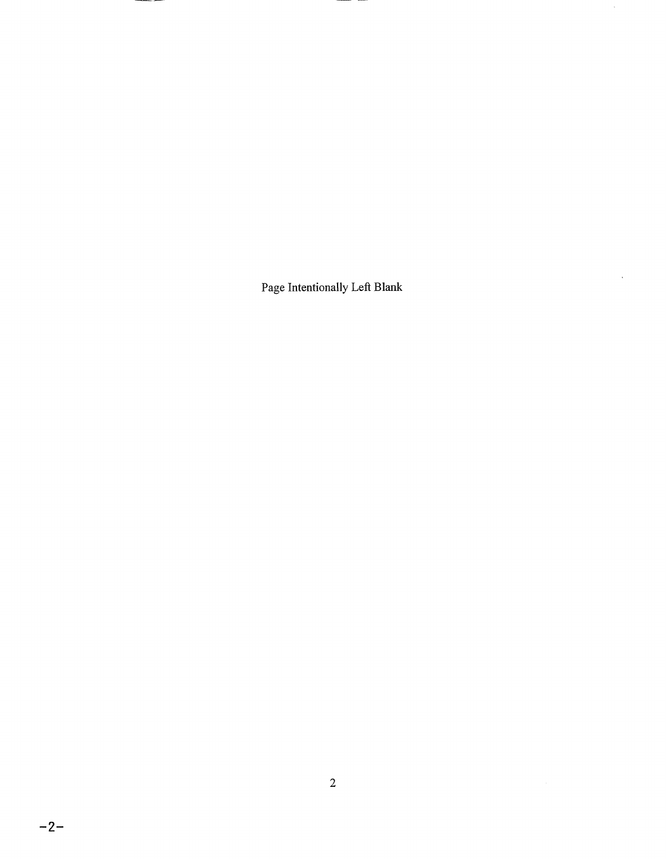Page Intentionally Left Blank

— —

 $\hat{\theta}$ 

 $\ddot{\phantom{a}}$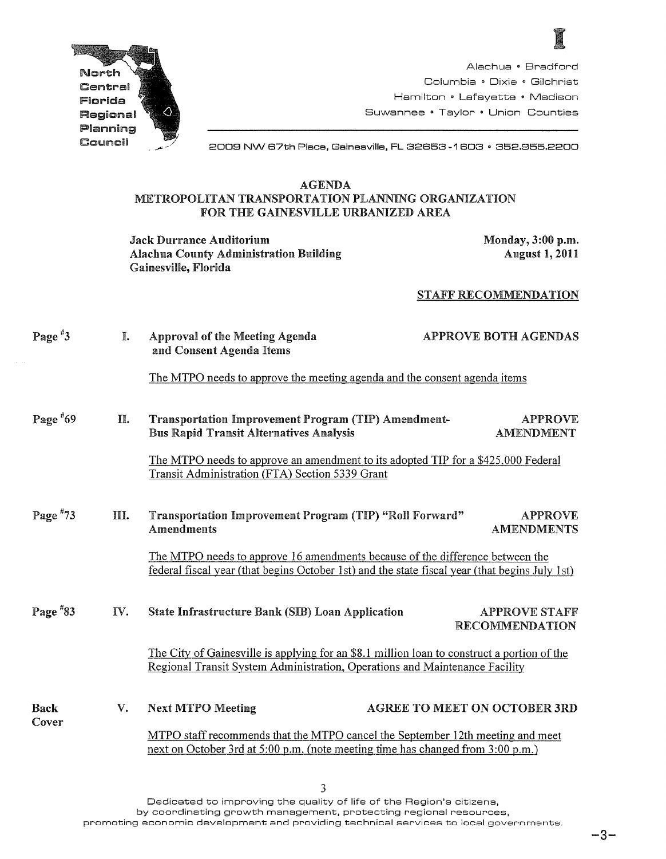

Alachua • Bradford Columbia • Dixie • Gilchrist Hamilton • Lafayette • Madison Suwannee • Taylor • Union Counties

2009 NW 87th Place, Gainesville, FL 32853 -1 803 • 352.955.2200

# AGENDA METROPOLITAN TRANSPORTATION PLANNING ORGANIZATION FOR THE GAINESVILLE URBANIZED AREA

Jack Durrance Auditorium Alachua County Administration Building Gainesville, Florida

Monday, 3:00 p.m. August 1, 2011

I

### STAFF RECOMMENDATION

| Page $*3$     | I.   | <b>Approval of the Meeting Agenda</b><br>and Consent Agenda Items                                                                                                               | <b>APPROVE BOTH AGENDAS</b>                   |
|---------------|------|---------------------------------------------------------------------------------------------------------------------------------------------------------------------------------|-----------------------------------------------|
|               |      | The MTPO needs to approve the meeting agenda and the consent agenda items                                                                                                       |                                               |
| Page $*69$    | Π.   | Transportation Improvement Program (TIP) Amendment-<br><b>Bus Rapid Transit Alternatives Analysis</b>                                                                           | <b>APPROVE</b><br><b>AMENDMENT</b>            |
|               |      | The MTPO needs to approve an amendment to its adopted TIP for a \$425,000 Federal<br>Transit Administration (FTA) Section 5339 Grant                                            |                                               |
| Page $*73$    | III. | Transportation Improvement Program (TIP) "Roll Forward"<br>Amendments                                                                                                           | <b>APPROVE</b><br><b>AMENDMENTS</b>           |
|               |      | The MTPO needs to approve 16 amendments because of the difference between the<br>federal fiscal year (that begins October 1st) and the state fiscal year (that begins July 1st) |                                               |
| Page $*83$    | IV.  | State Infrastructure Bank (SIB) Loan Application                                                                                                                                | <b>APPROVE STAFF</b><br><b>RECOMMENDATION</b> |
|               |      | The City of Gainesville is applying for an \$8.1 million loan to construct a portion of the<br>Regional Transit System Administration, Operations and Maintenance Facility      |                                               |
| Back<br>Cover | V.   | <b>Next MTPO Meeting</b>                                                                                                                                                        | <b>AGREE TO MEET ON OCTOBER 3RD</b>           |
|               |      | MTPO staff recommends that the MTPO cancel the September 12th meeting and meet<br>next on October 3rd at 5:00 p.m. (note meeting time has changed from 3:00 p.m.)               |                                               |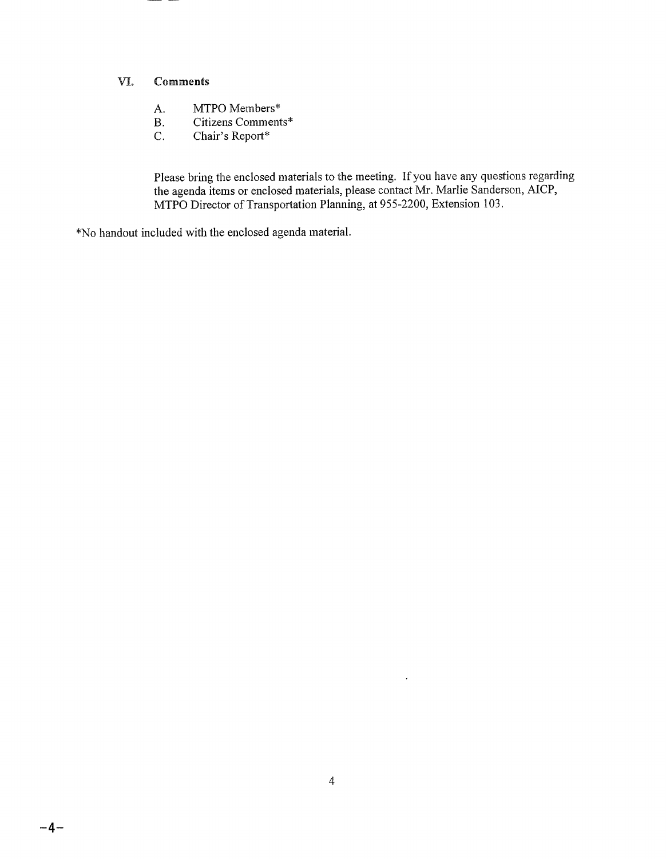# VI. Comments

- A. MTPO Members\*
- B. Citizens Comments\*
- C. Chair's Report\*

Please bring the enclosed materials to the meeting. If you have any questions regarding the agenda items or enclosed materials, please contact Mr. Marlie Sanderson, AICP, MTPO Director of Transportation Planning, at 955-2200, Extension 103.

\*No handout included with the enclosed agenda material.

 $\hat{\mathbf{r}}$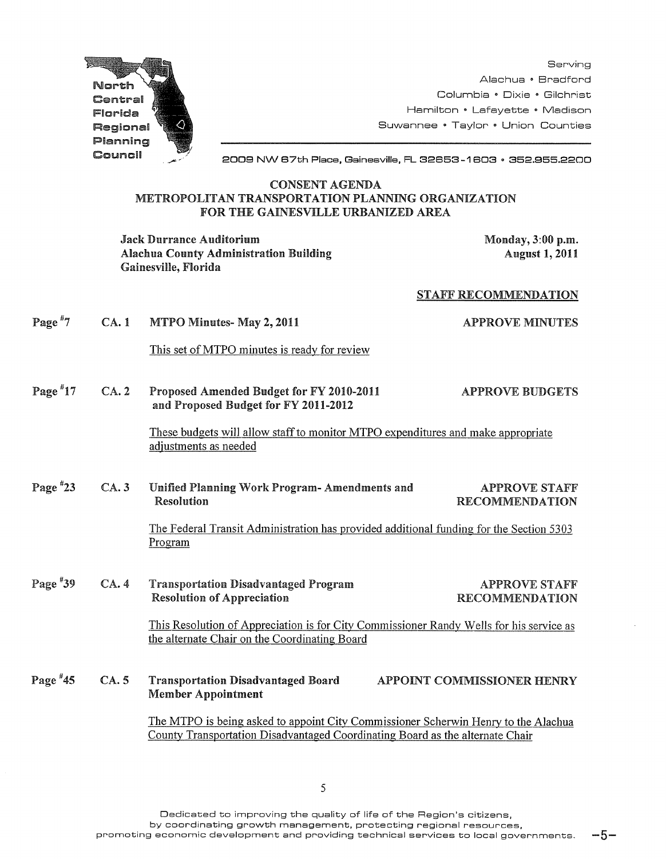North **Central** Florida Regional Planning **Council** 

Serving Alachua· Bradford Columbia • Dixie • Gilchrist Hamilton • Lafavette • Madison Suwannee • Taylor • Union Counties

2009 NW 67th Place, Gainesville, FL 32663-1603 0 362.966.2200

# CONSENT AGENDA METROPOLITAN TRANSPORTATION PLANNING ORGANIZATION FOR THE GAINESVILLE URBANIZED AREA

Jack Durrance Auditorium and the state of the Monday, 3:00 p.m. Alachua County Administration Building Gainesville, Florida

August 1,2011

| STAFF RECOMMENDATION |
|----------------------|
|                      |

Page  $\overline{7}$ CA. 1 MTPO Minutes- May 2, 2011 APPROVE MINUTES This set of MTPO minutes is ready for review Page  $*17$ CA. 2 Proposed Amended Budget for FY 2010-2011 APPROVE BUDGETS and Proposed Budget for FY 2011-2012 These budgets will allow staff to monitor MTPO expenditures and make appropriate adjustments as needed Page  $*23$ CA. 3 Unified Planning Work Program- Amendments and APPROVE STAFF Resolution RECOMMENDATION The Federal Transit Administration has provided additional funding for the Section 5303 Program Page  $*39$ CA. 4 Transportation Disadvantaged Program APPROVE STAFF Resolution of Appreciation RECOMMENDATION This Resolution of Appreciation is for City Commissioner Randy Wells for his service as the alternate Chair on the Coordinating Board Page #45 CA. 5 Transportation Disadvantaged Board APPOINT COMMISSIONER HENRY Member Appointment The MTPO is being asked to appoint City Commissioner Scherwin Hemy to the Alachua County Transportation Disadvantaged Coordinating Board as the alternate Chair

Dedicated to improving the quality of life of the Region's citizens, by coordinating growth management, protecting regional resources, promoting economic development and providing technical services to local governments. **-5-**